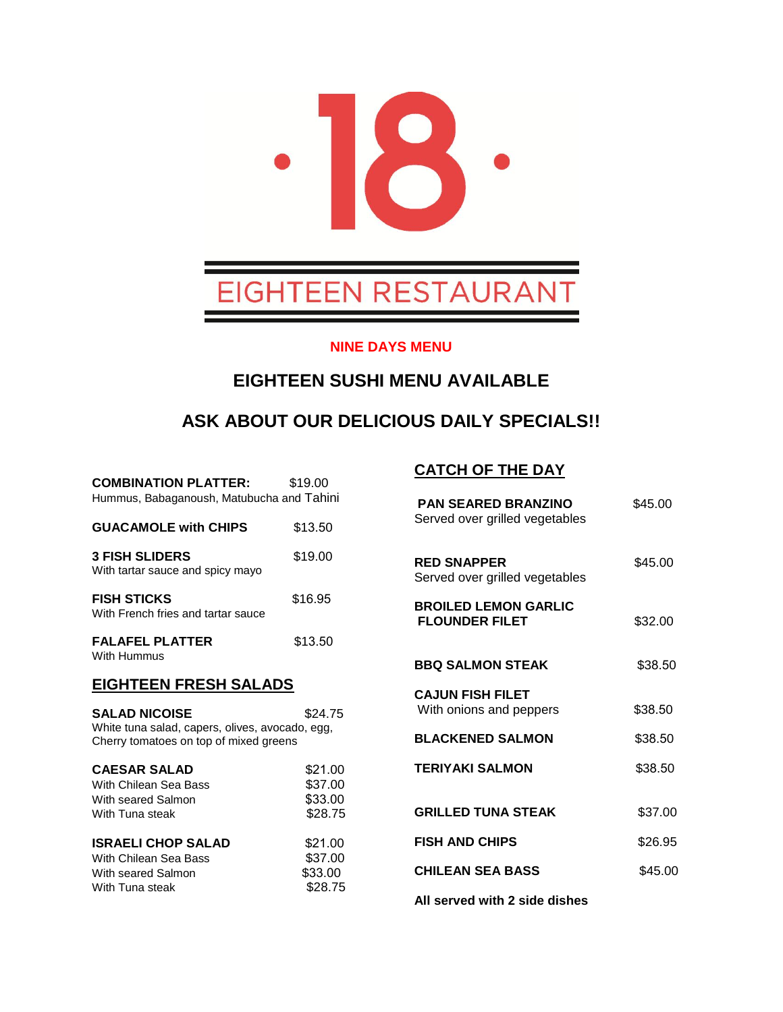

#### **NINE DAYS MENU**

### **EIGHTEEN SUSHI MENU AVAILABLE**

# **ASK ABOUT OUR DELICIOUS DAILY SPECIALS!!**

| <b>COMBINATION PLATTER:</b><br>Hummus, Babaganoush, Matubucha and Tahini                                                     | \$19.00                                  |  |
|------------------------------------------------------------------------------------------------------------------------------|------------------------------------------|--|
| <b>GUACAMOLE with CHIPS</b>                                                                                                  | \$13.50                                  |  |
| <b>3 FISH SLIDERS</b><br>With tartar sauce and spicy mayo                                                                    | \$19.00                                  |  |
| <b>FISH STICKS</b><br>With French fries and tartar sauce                                                                     | \$16.95                                  |  |
| <b>FALAFEL PLATTER</b><br>With Hummus                                                                                        | \$13.50                                  |  |
| <b>EIGHTEEN FRESH SALADS</b>                                                                                                 |                                          |  |
| <b>SALAD NICOISE</b><br>\$24.75<br>White tuna salad, capers, olives, avocado, egg,<br>Cherry tomatoes on top of mixed greens |                                          |  |
| <b>CAESAR SALAD</b><br>With Chilean Sea Bass<br>With seared Salmon<br>With Tuna steak                                        | \$21.00<br>\$37.00<br>\$33.00<br>\$28.75 |  |
| <b>ISRAELI CHOP SALAD</b><br>With Chilean Sea Bass<br>With seared Salmon<br>With Tuna steak                                  | \$21.00<br>\$37.00<br>\$33.00<br>\$28.75 |  |

#### **CATCH OF THE DAY**

| <b>PAN SEARED BRANZINO</b><br>Served over grilled vegetables | \$45.00 |
|--------------------------------------------------------------|---------|
| <b>RED SNAPPER</b><br>Served over grilled vegetables         | \$45.00 |
| <b>BROILED LEMON GARLIC</b><br><b>FLOUNDER FILET</b>         | \$32.00 |
| <b>BBQ SALMON STEAK</b>                                      | \$38.50 |
| <b>CAJUN FISH FILET</b><br>With onions and peppers           | \$38.50 |
| <b>BLACKENED SALMON</b>                                      | \$38.50 |
| <b>TERIYAKI SALMON</b>                                       | \$38.50 |
| <b>GRILLED TUNA STEAK</b>                                    | \$37.00 |
| <b>FISH AND CHIPS</b>                                        | \$26.95 |
| <b>CHILEAN SEA BASS</b>                                      | \$45.00 |
| All served with 2 side dishes                                |         |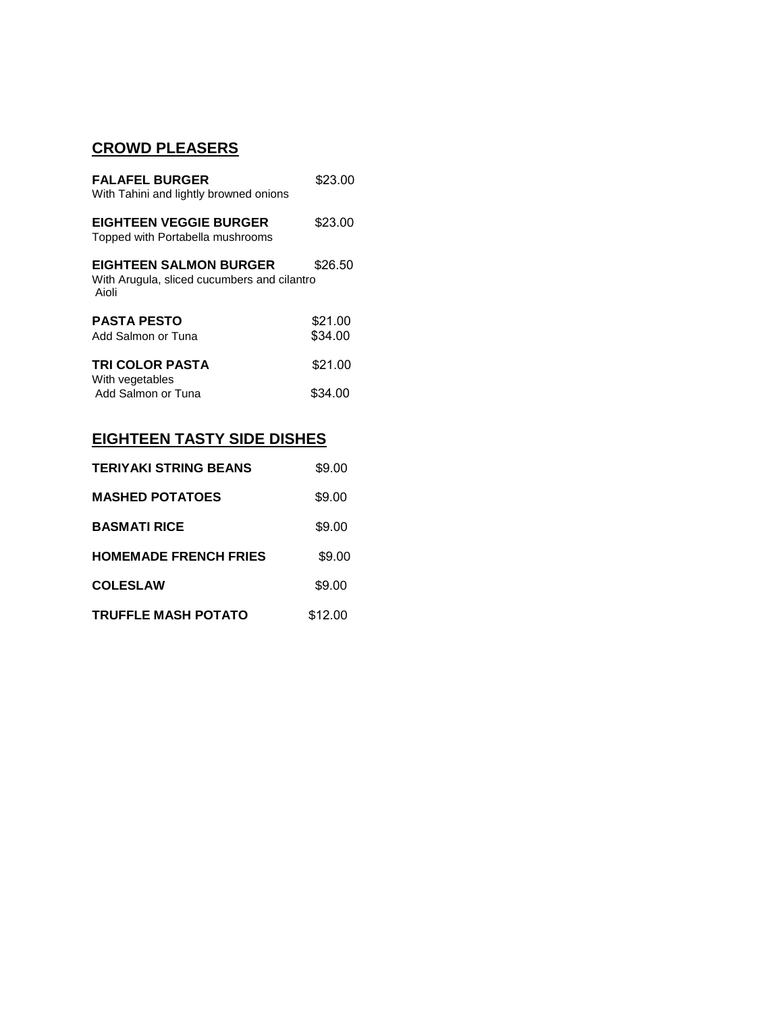### **CROWD PLEASERS**

| <b>FALAFEL BURGER</b><br>With Tahini and lightly browned onions                       | \$23.00 |
|---------------------------------------------------------------------------------------|---------|
| <b>EIGHTEEN VEGGIE BURGER</b><br>Topped with Portabella mushrooms                     | \$23.00 |
| <b>EIGHTEEN SALMON BURGER</b><br>With Arugula, sliced cucumbers and cilantro<br>Aioli | \$26.50 |
| <b>PASTA PESTO</b>                                                                    | \$21.00 |
| Add Salmon or Tuna                                                                    | \$34.00 |
| <b>TRI COLOR PASTA</b>                                                                | \$21.00 |
| With vegetables                                                                       |         |
| Add Salmon or Tuna                                                                    | \$34.00 |

## **EIGHTEEN TASTY SIDE DISHES**

| <b>TERIYAKI STRING BEANS</b> | \$9.00  |
|------------------------------|---------|
| <b>MASHED POTATOES</b>       | \$9.00  |
| <b>BASMATI RICE</b>          | \$9.00  |
| <b>HOMEMADE FRENCH FRIES</b> | \$9.00  |
| <b>COLESLAW</b>              | \$9.00  |
| <b>TRUFFLE MASH POTATO</b>   | \$12.00 |